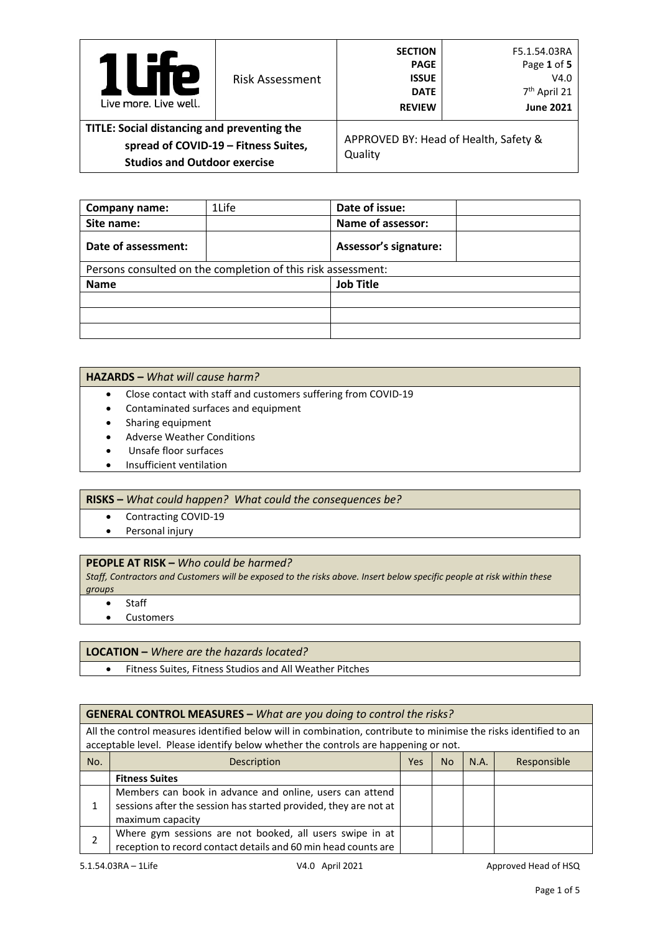| le<br>$\mathbf{L}$<br>Live more, Live well.                                                                                | <b>Risk Assessment</b> | <b>SECTION</b><br><b>PAGE</b><br><b>ISSUE</b><br><b>DATE</b><br><b>REVIEW</b> | F5.1.54.03RA<br>Page 1 of 5<br>V4.0<br>7 <sup>th</sup> April 21<br><b>June 2021</b> |
|----------------------------------------------------------------------------------------------------------------------------|------------------------|-------------------------------------------------------------------------------|-------------------------------------------------------------------------------------|
| TITLE: Social distancing and preventing the<br>spread of COVID-19 - Fitness Suites,<br><b>Studios and Outdoor exercise</b> |                        | APPROVED BY: Head of Health, Safety &<br>Quality                              |                                                                                     |

| Company name:       | 1Life                                                        | Date of issue:               |  |  |  |
|---------------------|--------------------------------------------------------------|------------------------------|--|--|--|
| Site name:          |                                                              | Name of assessor:            |  |  |  |
| Date of assessment: |                                                              | <b>Assessor's signature:</b> |  |  |  |
|                     | Persons consulted on the completion of this risk assessment: |                              |  |  |  |
| <b>Name</b>         |                                                              | <b>Job Title</b>             |  |  |  |
|                     |                                                              |                              |  |  |  |
|                     |                                                              |                              |  |  |  |
|                     |                                                              |                              |  |  |  |

## **HAZARDS –** *What will cause harm?*

- Close contact with staff and customers suffering from COVID-19
- Contaminated surfaces and equipment
- Sharing equipment
- Adverse Weather Conditions
- Unsafe floor surfaces
- Insufficient ventilation

## **RISKS –** *What could happen? What could the consequences be?*

- Contracting COVID-19
- Personal injury

## **PEOPLE AT RISK –** *Who could be harmed?*

*Staff, Contractors and Customers will be exposed to the risks above. Insert below specific people at risk within these groups*

**Staff** 

• Customers

## **LOCATION –** *Where are the hazards located?*

• Fitness Suites, Fitness Studios and All Weather Pitches

## **GENERAL CONTROL MEASURES –** *What are you doing to control the risks?*

All the control measures identified below will in combination, contribute to minimise the risks identified to an acceptable level. Please identify below whether the controls are happening or not.

| No. | Description                                                                                                                                      | Yes | <b>No</b> | N.A. | Responsible |
|-----|--------------------------------------------------------------------------------------------------------------------------------------------------|-----|-----------|------|-------------|
|     | <b>Fitness Suites</b>                                                                                                                            |     |           |      |             |
|     | Members can book in advance and online, users can attend<br>sessions after the session has started provided, they are not at<br>maximum capacity |     |           |      |             |
|     | Where gym sessions are not booked, all users swipe in at<br>reception to record contact details and 60 min head counts are                       |     |           |      |             |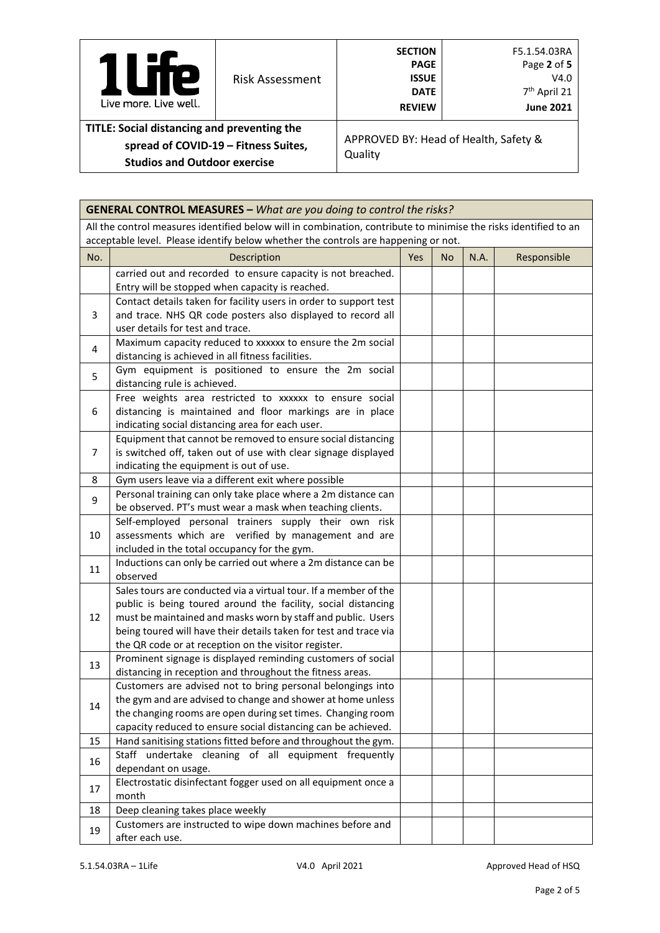| Р<br>Live more, Live well.                                                                                                 | Risk Assessment | <b>SECTION</b><br><b>PAGE</b><br><b>ISSUE</b><br><b>DATE</b><br><b>REVIEW</b> | F5.1.54.03RA<br>Page 2 of 5<br>V4.0<br>7 <sup>th</sup> April 21<br><b>June 2021</b> |  |
|----------------------------------------------------------------------------------------------------------------------------|-----------------|-------------------------------------------------------------------------------|-------------------------------------------------------------------------------------|--|
| TITLE: Social distancing and preventing the<br>spread of COVID-19 - Fitness Suites,<br><b>Studios and Outdoor exercise</b> |                 | APPROVED BY: Head of Health, Safety &<br>Quality                              |                                                                                     |  |

|                | <b>GENERAL CONTROL MEASURES - What are you doing to control the risks?</b>                                                                                                                                                                                                                                                     |            |     |      |             |  |  |
|----------------|--------------------------------------------------------------------------------------------------------------------------------------------------------------------------------------------------------------------------------------------------------------------------------------------------------------------------------|------------|-----|------|-------------|--|--|
|                | All the control measures identified below will in combination, contribute to minimise the risks identified to an<br>acceptable level. Please identify below whether the controls are happening or not.                                                                                                                         |            |     |      |             |  |  |
| No.            | Description                                                                                                                                                                                                                                                                                                                    | <b>Yes</b> | No. | N.A. | Responsible |  |  |
|                | carried out and recorded to ensure capacity is not breached.<br>Entry will be stopped when capacity is reached.                                                                                                                                                                                                                |            |     |      |             |  |  |
| 3              | Contact details taken for facility users in order to support test<br>and trace. NHS QR code posters also displayed to record all<br>user details for test and trace.                                                                                                                                                           |            |     |      |             |  |  |
| 4              | Maximum capacity reduced to xxxxxx to ensure the 2m social<br>distancing is achieved in all fitness facilities.                                                                                                                                                                                                                |            |     |      |             |  |  |
| 5              | Gym equipment is positioned to ensure the 2m social<br>distancing rule is achieved.                                                                                                                                                                                                                                            |            |     |      |             |  |  |
| 6              | Free weights area restricted to xxxxxx to ensure social<br>distancing is maintained and floor markings are in place<br>indicating social distancing area for each user.                                                                                                                                                        |            |     |      |             |  |  |
| $\overline{7}$ | Equipment that cannot be removed to ensure social distancing<br>is switched off, taken out of use with clear signage displayed<br>indicating the equipment is out of use.                                                                                                                                                      |            |     |      |             |  |  |
| 8              | Gym users leave via a different exit where possible                                                                                                                                                                                                                                                                            |            |     |      |             |  |  |
| 9              | Personal training can only take place where a 2m distance can<br>be observed. PT's must wear a mask when teaching clients.                                                                                                                                                                                                     |            |     |      |             |  |  |
| 10             | Self-employed personal trainers supply their own risk<br>assessments which are verified by management and are<br>included in the total occupancy for the gym.                                                                                                                                                                  |            |     |      |             |  |  |
| 11             | Inductions can only be carried out where a 2m distance can be<br>observed                                                                                                                                                                                                                                                      |            |     |      |             |  |  |
| 12             | Sales tours are conducted via a virtual tour. If a member of the<br>public is being toured around the facility, social distancing<br>must be maintained and masks worn by staff and public. Users<br>being toured will have their details taken for test and trace via<br>the QR code or at reception on the visitor register. |            |     |      |             |  |  |
| 13             | Prominent signage is displayed reminding customers of social<br>distancing in reception and throughout the fitness areas.                                                                                                                                                                                                      |            |     |      |             |  |  |
| 14             | Customers are advised not to bring personal belongings into<br>the gym and are advised to change and shower at home unless<br>the changing rooms are open during set times. Changing room<br>capacity reduced to ensure social distancing can be achieved.                                                                     |            |     |      |             |  |  |
| 15             | Hand sanitising stations fitted before and throughout the gym.                                                                                                                                                                                                                                                                 |            |     |      |             |  |  |
| 16             | Staff undertake cleaning of all equipment frequently<br>dependant on usage.                                                                                                                                                                                                                                                    |            |     |      |             |  |  |
| 17             | Electrostatic disinfectant fogger used on all equipment once a<br>month                                                                                                                                                                                                                                                        |            |     |      |             |  |  |
| 18             | Deep cleaning takes place weekly                                                                                                                                                                                                                                                                                               |            |     |      |             |  |  |
| 19             | Customers are instructed to wipe down machines before and<br>after each use.                                                                                                                                                                                                                                                   |            |     |      |             |  |  |

É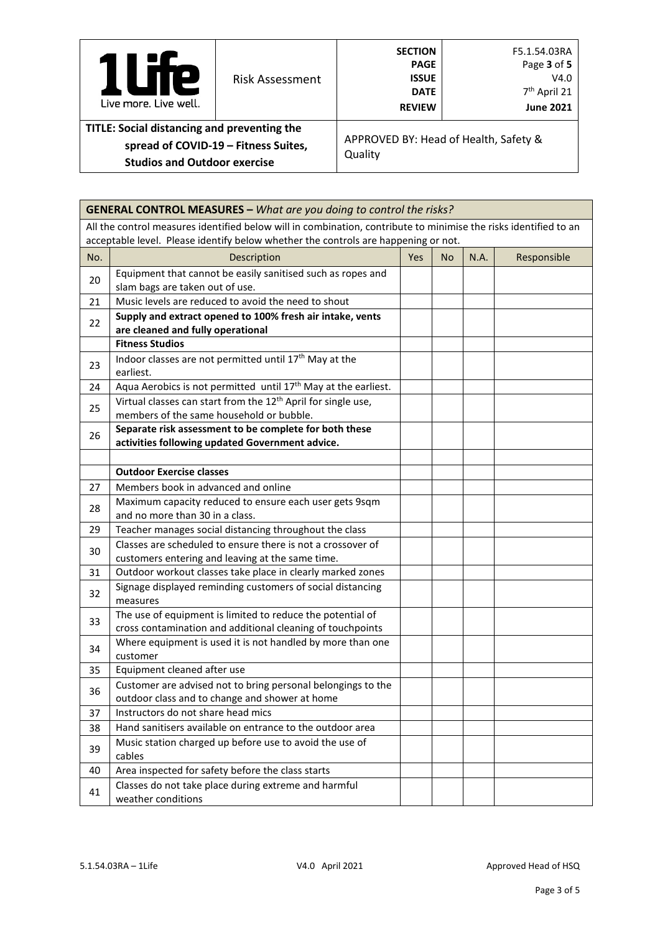| <b>Te</b><br>Live more, Live well.                                                                                         | <b>Risk Assessment</b> | <b>SECTION</b><br><b>PAGE</b><br><b>ISSUE</b><br><b>DATE</b><br><b>REVIEW</b> | F5.1.54.03RA<br>Page 3 of 5<br>V4.0<br>7 <sup>th</sup> April 21<br><b>June 2021</b> |
|----------------------------------------------------------------------------------------------------------------------------|------------------------|-------------------------------------------------------------------------------|-------------------------------------------------------------------------------------|
| TITLE: Social distancing and preventing the<br>spread of COVID-19 - Fitness Suites,<br><b>Studios and Outdoor exercise</b> |                        | APPROVED BY: Head of Health, Safety &<br>Quality                              |                                                                                     |

|     | <b>GENERAL CONTROL MEASURES - What are you doing to control the risks?</b>                                                                                                                             |            |           |      |             |
|-----|--------------------------------------------------------------------------------------------------------------------------------------------------------------------------------------------------------|------------|-----------|------|-------------|
|     | All the control measures identified below will in combination, contribute to minimise the risks identified to an<br>acceptable level. Please identify below whether the controls are happening or not. |            |           |      |             |
| No. | Description                                                                                                                                                                                            | <b>Yes</b> | <b>No</b> | N.A. | Responsible |
| 20  | Equipment that cannot be easily sanitised such as ropes and<br>slam bags are taken out of use.                                                                                                         |            |           |      |             |
| 21  | Music levels are reduced to avoid the need to shout                                                                                                                                                    |            |           |      |             |
| 22  | Supply and extract opened to 100% fresh air intake, vents<br>are cleaned and fully operational                                                                                                         |            |           |      |             |
|     | <b>Fitness Studios</b>                                                                                                                                                                                 |            |           |      |             |
| 23  | Indoor classes are not permitted until 17th May at the<br>earliest.                                                                                                                                    |            |           |      |             |
| 24  | Aqua Aerobics is not permitted until 17 <sup>th</sup> May at the earliest.                                                                                                                             |            |           |      |             |
| 25  | Virtual classes can start from the 12 <sup>th</sup> April for single use,<br>members of the same household or bubble.                                                                                  |            |           |      |             |
| 26  | Separate risk assessment to be complete for both these<br>activities following updated Government advice.                                                                                              |            |           |      |             |
|     |                                                                                                                                                                                                        |            |           |      |             |
|     | <b>Outdoor Exercise classes</b>                                                                                                                                                                        |            |           |      |             |
| 27  | Members book in advanced and online                                                                                                                                                                    |            |           |      |             |
| 28  | Maximum capacity reduced to ensure each user gets 9sqm<br>and no more than 30 in a class.                                                                                                              |            |           |      |             |
| 29  | Teacher manages social distancing throughout the class                                                                                                                                                 |            |           |      |             |
| 30  | Classes are scheduled to ensure there is not a crossover of<br>customers entering and leaving at the same time.                                                                                        |            |           |      |             |
| 31  | Outdoor workout classes take place in clearly marked zones                                                                                                                                             |            |           |      |             |
| 32  | Signage displayed reminding customers of social distancing<br>measures                                                                                                                                 |            |           |      |             |
| 33  | The use of equipment is limited to reduce the potential of<br>cross contamination and additional cleaning of touchpoints                                                                               |            |           |      |             |
| 34  | Where equipment is used it is not handled by more than one<br>customer                                                                                                                                 |            |           |      |             |
| 35  | Equipment cleaned after use                                                                                                                                                                            |            |           |      |             |
| 36  | Customer are advised not to bring personal belongings to the<br>outdoor class and to change and shower at home                                                                                         |            |           |      |             |
| 37  | Instructors do not share head mics                                                                                                                                                                     |            |           |      |             |
| 38  | Hand sanitisers available on entrance to the outdoor area                                                                                                                                              |            |           |      |             |
| 39  | Music station charged up before use to avoid the use of<br>cables                                                                                                                                      |            |           |      |             |
| 40  | Area inspected for safety before the class starts                                                                                                                                                      |            |           |      |             |
| 41  | Classes do not take place during extreme and harmful<br>weather conditions                                                                                                                             |            |           |      |             |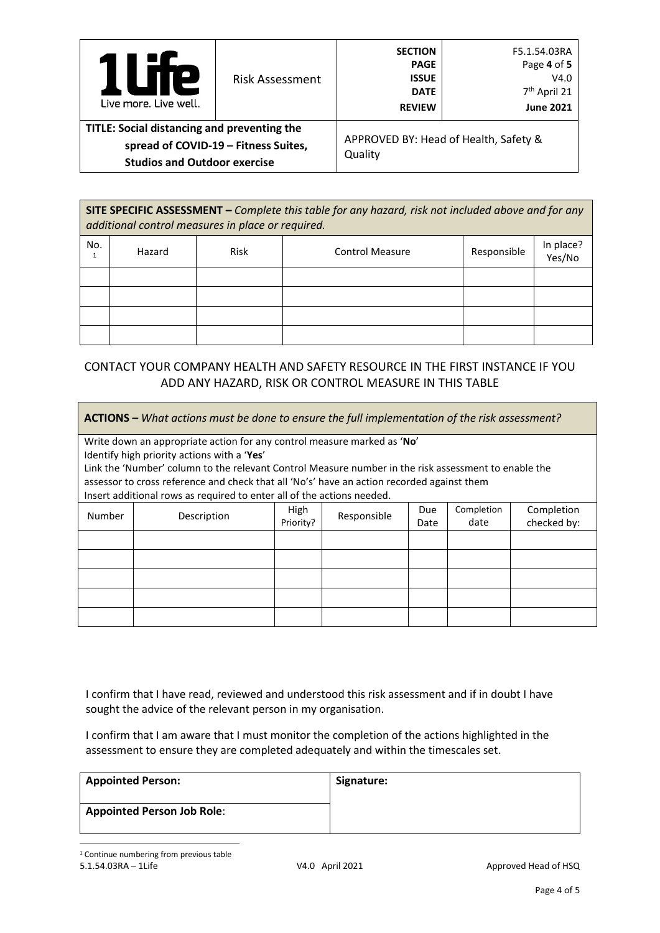| Te<br>U<br>Live more, Live well.                                                                                           | <b>Risk Assessment</b> | <b>SECTION</b><br><b>PAGE</b><br><b>ISSUE</b><br><b>DATE</b><br><b>REVIEW</b> | F5.1.54.03RA<br>Page 4 of 5<br>V4.0<br>7 <sup>th</sup> April 21<br><b>June 2021</b> |  |
|----------------------------------------------------------------------------------------------------------------------------|------------------------|-------------------------------------------------------------------------------|-------------------------------------------------------------------------------------|--|
| TITLE: Social distancing and preventing the<br>spread of COVID-19 - Fitness Suites,<br><b>Studios and Outdoor exercise</b> |                        | APPROVED BY: Head of Health, Safety &<br>Quality                              |                                                                                     |  |

**SITE SPECIFIC ASSESSMENT –** *Complete this table for any hazard, risk not included above and for any additional control measures in place or required.*

| No. | Hazard | Risk | <b>Control Measure</b> | Responsible | In place?<br>Yes/No |
|-----|--------|------|------------------------|-------------|---------------------|
|     |        |      |                        |             |                     |
|     |        |      |                        |             |                     |
|     |        |      |                        |             |                     |
|     |        |      |                        |             |                     |

# CONTACT YOUR COMPANY HEALTH AND SAFETY RESOURCE IN THE FIRST INSTANCE IF YOU ADD ANY HAZARD, RISK OR CONTROL MEASURE IN THIS TABLE

| <b>ACTIONS</b> – What actions must be done to ensure the full implementation of the risk assessment? |                                                                                                      |             |             |      |            |             |  |  |  |
|------------------------------------------------------------------------------------------------------|------------------------------------------------------------------------------------------------------|-------------|-------------|------|------------|-------------|--|--|--|
|                                                                                                      | Write down an appropriate action for any control measure marked as 'No'                              |             |             |      |            |             |  |  |  |
|                                                                                                      | Identify high priority actions with a 'Yes'                                                          |             |             |      |            |             |  |  |  |
|                                                                                                      | Link the 'Number' column to the relevant Control Measure number in the risk assessment to enable the |             |             |      |            |             |  |  |  |
|                                                                                                      | assessor to cross reference and check that all 'No's' have an action recorded against them           |             |             |      |            |             |  |  |  |
|                                                                                                      | Insert additional rows as required to enter all of the actions needed.                               |             |             |      |            |             |  |  |  |
| Number                                                                                               | Description                                                                                          | <b>High</b> | Responsible | Due  | Completion | Completion  |  |  |  |
|                                                                                                      |                                                                                                      | Priority?   |             | Date | date       | checked by: |  |  |  |
|                                                                                                      |                                                                                                      |             |             |      |            |             |  |  |  |
|                                                                                                      |                                                                                                      |             |             |      |            |             |  |  |  |
|                                                                                                      |                                                                                                      |             |             |      |            |             |  |  |  |
|                                                                                                      |                                                                                                      |             |             |      |            |             |  |  |  |
|                                                                                                      |                                                                                                      |             |             |      |            |             |  |  |  |

I confirm that I have read, reviewed and understood this risk assessment and if in doubt I have sought the advice of the relevant person in my organisation.

I confirm that I am aware that I must monitor the completion of the actions highlighted in the assessment to ensure they are completed adequately and within the timescales set.

<span id="page-3-0"></span>

| <b>Appointed Person:</b>          | Signature: |
|-----------------------------------|------------|
| <b>Appointed Person Job Role:</b> |            |